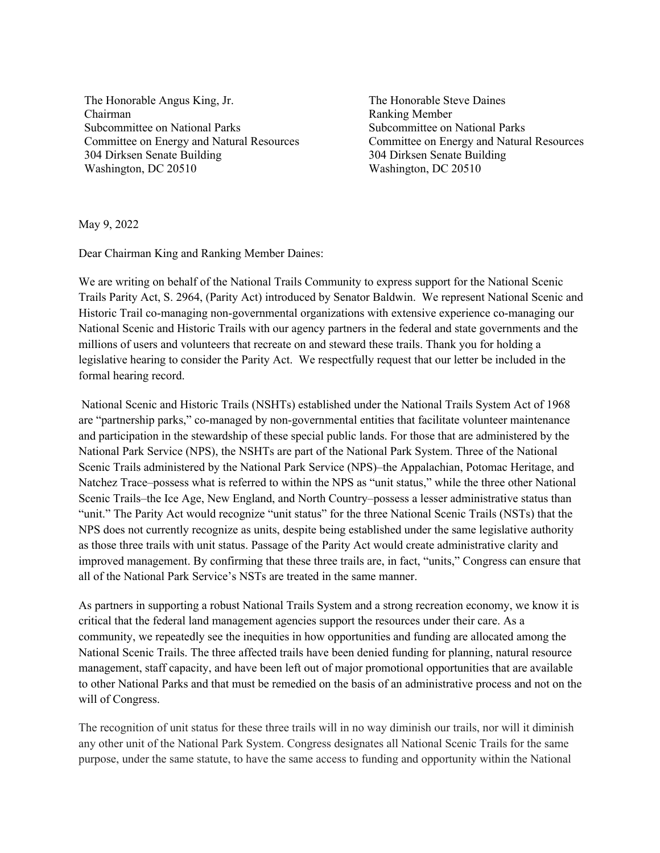The Honorable Angus King, Jr. Chairman Subcommittee on National Parks Committee on Energy and Natural Resources 304 Dirksen Senate Building Washington, DC 20510

The Honorable Steve Daines Ranking Member Subcommittee on National Parks Committee on Energy and Natural Resources 304 Dirksen Senate Building Washington, DC 20510

May 9, 2022

Dear Chairman King and Ranking Member Daines:

We are writing on behalf of the National Trails Community to express support for the National Scenic Trails Parity Act, S. 2964, (Parity Act) introduced by Senator Baldwin. We represent National Scenic and Historic Trail co-managing non-governmental organizations with extensive experience co-managing our National Scenic and Historic Trails with our agency partners in the federal and state governments and the millions of users and volunteers that recreate on and steward these trails. Thank you for holding a legislative hearing to consider the Parity Act. We respectfully request that our letter be included in the formal hearing record.

National Scenic and Historic Trails (NSHTs) established under the National Trails System Act of 1968 are "partnership parks," co-managed by non-governmental entities that facilitate volunteer maintenance and participation in the stewardship of these special public lands. For those that are administered by the National Park Service (NPS), the NSHTs are part of the National Park System. Three of the National Scenic Trails administered by the National Park Service (NPS)–the Appalachian, Potomac Heritage, and Natchez Trace–possess what is referred to within the NPS as "unit status," while the three other National Scenic Trails–the Ice Age, New England, and North Country–possess a lesser administrative status than "unit." The Parity Act would recognize "unit status" for the three National Scenic Trails (NSTs) that the NPS does not currently recognize as units, despite being established under the same legislative authority as those three trails with unit status. Passage of the Parity Act would create administrative clarity and improved management. By confirming that these three trails are, in fact, "units," Congress can ensure that all of the National Park Service's NSTs are treated in the same manner.

As partners in supporting a robust National Trails System and a strong recreation economy, we know it is critical that the federal land management agencies support the resources under their care. As a community, we repeatedly see the inequities in how opportunities and funding are allocated among the National Scenic Trails. The three affected trails have been denied funding for planning, natural resource management, staff capacity, and have been left out of major promotional opportunities that are available to other National Parks and that must be remedied on the basis of an administrative process and not on the will of Congress.

The recognition of unit status for these three trails will in no way diminish our trails, nor will it diminish any other unit of the National Park System. Congress designates all National Scenic Trails for the same purpose, under the same statute, to have the same access to funding and opportunity within the National